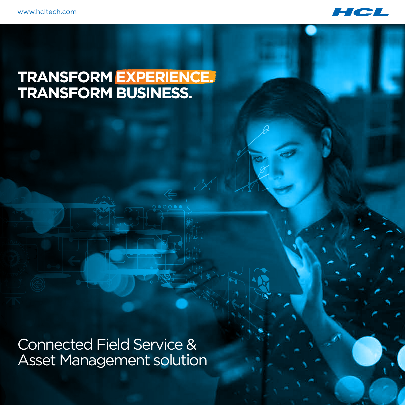

### **TRANSFORM EXPERIENCE. TRANSFORM BUSINESS.**

Connected Field Service & Asset Management solution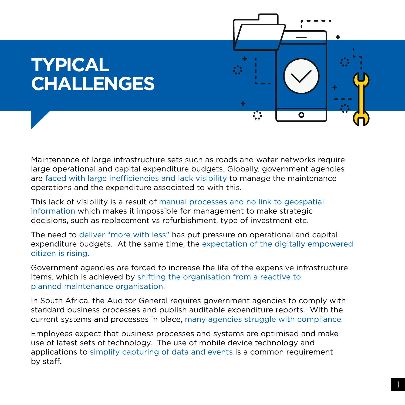# **TYPICAL CHALLENGES**



Maintenance of large infrastructure sets such as roads and water networks require large operational and capital expenditure budgets. Globally, government agencies are faced with large inefficiencies and lack visibility to manage the maintenance operations and the expenditure associated to with this.

This lack of visibility is a result of manual processes and no link to geospatial information which makes it impossible for management to make strategic decisions, such as replacement vs refurbishment, type of investment etc.

The need to deliver "more with less" has put pressure on operational and capital expenditure budgets. At the same time, the expectation of the digitally empowered citizen is rising.

Government agencies are forced to increase the life of the expensive infrastructure items, which is achieved by shifting the organisation from a reactive to planned maintenance organisation.

In South Africa, the Auditor General requires government agencies to comply with standard business processes and publish auditable expenditure reports. With the current systems and processes in place, many agencies struggle with compliance.

Employees expect that business processes and systems are optimised and make use of latest sets of technology. The use of mobile device technology and applications to simplify capturing of data and events is a common requirement by staff.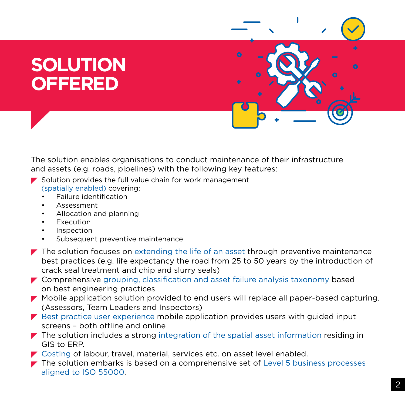# **SOLUTION OFFERED**



The solution enables organisations to conduct maintenance of their infrastructure and assets (e.g. roads, pipelines) with the following key features:

- $\blacktriangleright$  Solution provides the full value chain for work management (spatially enabled) covering:
	- Failure identification
	- Assessment
	- Allocation and planning
	- Execution
	- Inspection
	- Subsequent preventive maintenance
- $\blacktriangleright$  The solution focuses on extending the life of an asset through preventive maintenance best practices (e.g. life expectancy the road from 25 to 50 years by the introduction of crack seal treatment and chip and slurry seals)
- Comprehensive grouping, classification and asset failure analysis taxonomy based on best engineering practices
- Mobile application solution provided to end users will replace all paper-based capturing. (Assessors, Team Leaders and Inspectors)
- $\blacktriangleright$  Best practice user experience mobile application provides users with quided input screens – both offline and online
- $\blacktriangleright$  The solution includes a strong integration of the spatial asset information residing in GIS to ERP.
- **Costing of labour, travel, material, services etc. on asset level enabled.**
- $\blacktriangleright$  The solution embarks is based on a comprehensive set of Level 5 business processes aligned to ISO 55000.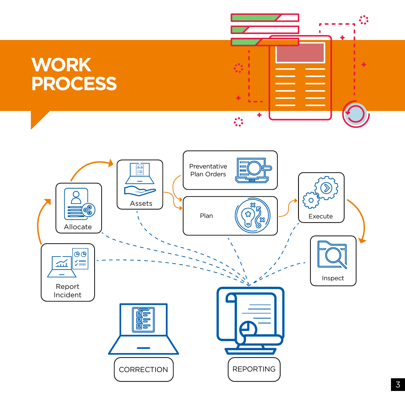# **WORK PROCESS**



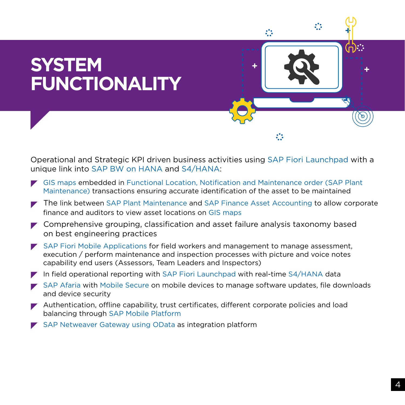

Operational and Strategic KPI driven business activities using SAP Fiori Launchpad with a unique link into SAP BW on HANA and S4/HANA:

- GIS maps embedded in Functional Location, Notification and Maintenance order (SAP Plant Maintenance) transactions ensuring accurate identification of the asset to be maintained
- The link between SAP Plant Maintenance and SAP Finance Asset Accounting to allow corporate finance and auditors to view asset locations on GIS maps
- $\blacktriangleright$  Comprehensive grouping, classification and asset failure analysis taxonomy based on best engineering practices
- $\blacktriangleright$  SAP Fiori Mobile Applications for field workers and management to manage assessment, execution / perform maintenance and inspection processes with picture and voice notes capability end users (Assessors, Team Leaders and Inspectors)
- $\blacktriangleright$  In field operational reporting with SAP Fiori Launchpad with real-time S4/HANA data
- SAP Afaria with Mobile Secure on mobile devices to manage software updates, file downloads and device security
- $\blacktriangleright$  Authentication, offline capability, trust certificates, different corporate policies and load balancing through SAP Mobile Platform
- SAP Netweaver Gateway using OData as integration platform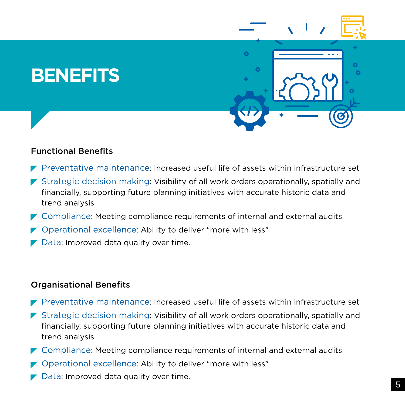## **BENEFITS**





### Functional Benefits

- $\blacktriangleright$  Preventative maintenance: Increased useful life of assets within infrastructure set
- **•** Strategic decision making: Visibility of all work orders operationally, spatially and financially, supporting future planning initiatives with accurate historic data and trend analysis
- Compliance: Meeting compliance requirements of internal and external audits
- ▼ Operational excellence: Ability to deliver "more with less"
- **Data: Improved data quality over time.**

### Organisational Benefits

- $\blacktriangleright$  Preventative maintenance: Increased useful life of assets within infrastructure set
- Strategic decision making: Visibility of all work orders operationally, spatially and financially, supporting future planning initiatives with accurate historic data and trend analysis
- Compliance: Meeting compliance requirements of internal and external audits
- Operational excellence: Ability to deliver "more with less"
- **Data: Improved data quality over time.**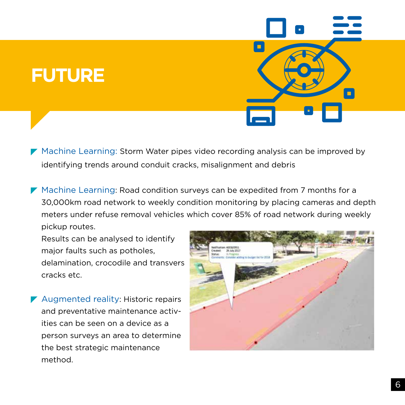# **FUTURE**

- Machine Learning: Storm Water pipes video recording analysis can be improved by identifying trends around conduit cracks, misalignment and debris
- Machine Learning: Road condition surveys can be expedited from 7 months for a 30,000km road network to weekly condition monitoring by placing cameras and depth meters under refuse removal vehicles which cover 85% of road network during weekly pickup routes.

 Results can be analysed to identify major faults such as potholes, delamination, crocodile and transvers cracks etc.

Augmented reality: Historic repairs and preventative maintenance activ ities can be seen on a device as a person surveys an area to determine the best strategic maintenance method.